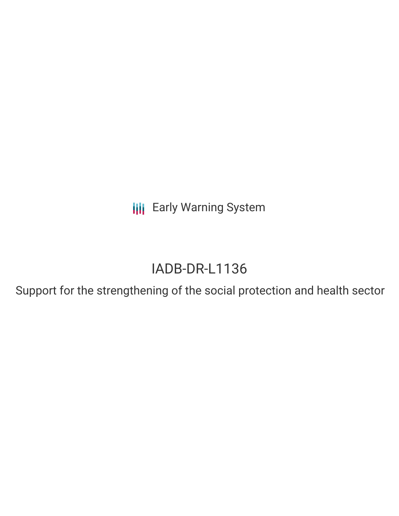**III** Early Warning System

# IADB-DR-L1136

Support for the strengthening of the social protection and health sector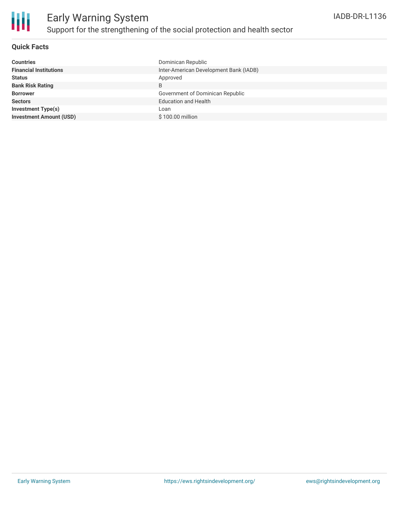

#### **Quick Facts**

| <b>Countries</b>               | Dominican Republic                     |
|--------------------------------|----------------------------------------|
| <b>Financial Institutions</b>  | Inter-American Development Bank (IADB) |
| <b>Status</b>                  | Approved                               |
| <b>Bank Risk Rating</b>        | B                                      |
| <b>Borrower</b>                | Government of Dominican Republic       |
| <b>Sectors</b>                 | <b>Education and Health</b>            |
| <b>Investment Type(s)</b>      | Loan                                   |
| <b>Investment Amount (USD)</b> | \$100.00 million                       |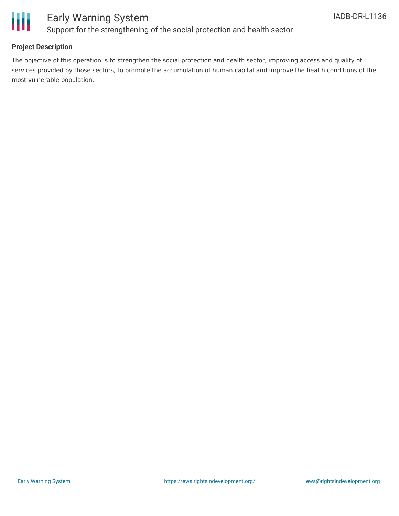

### Early Warning System Support for the strengthening of the social protection and health sector

#### **Project Description**

The objective of this operation is to strengthen the social protection and health sector, improving access and quality of services provided by those sectors, to promote the accumulation of human capital and improve the health conditions of the most vulnerable population.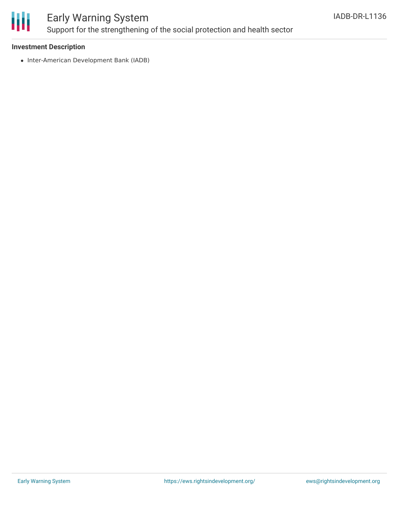

## Early Warning System Support for the strengthening of the social protection and health sector

#### **Investment Description**

• Inter-American Development Bank (IADB)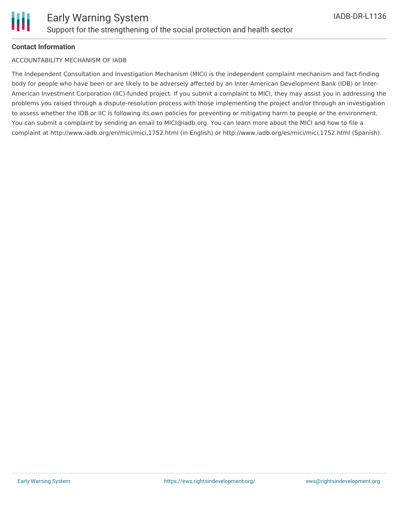

#### **Contact Information**

#### ACCOUNTABILITY MECHANISM OF IADB

The Independent Consultation and Investigation Mechanism (MICI) is the independent complaint mechanism and fact-finding body for people who have been or are likely to be adversely affected by an Inter-American Development Bank (IDB) or Inter-American Investment Corporation (IIC)-funded project. If you submit a complaint to MICI, they may assist you in addressing the problems you raised through a dispute-resolution process with those implementing the project and/or through an investigation to assess whether the IDB or IIC is following its own policies for preventing or mitigating harm to people or the environment. You can submit a complaint by sending an email to MICI@iadb.org. You can learn more about the MICI and how to file a complaint at http://www.iadb.org/en/mici/mici,1752.html (in English) or http://www.iadb.org/es/mici/mici,1752.html (Spanish).